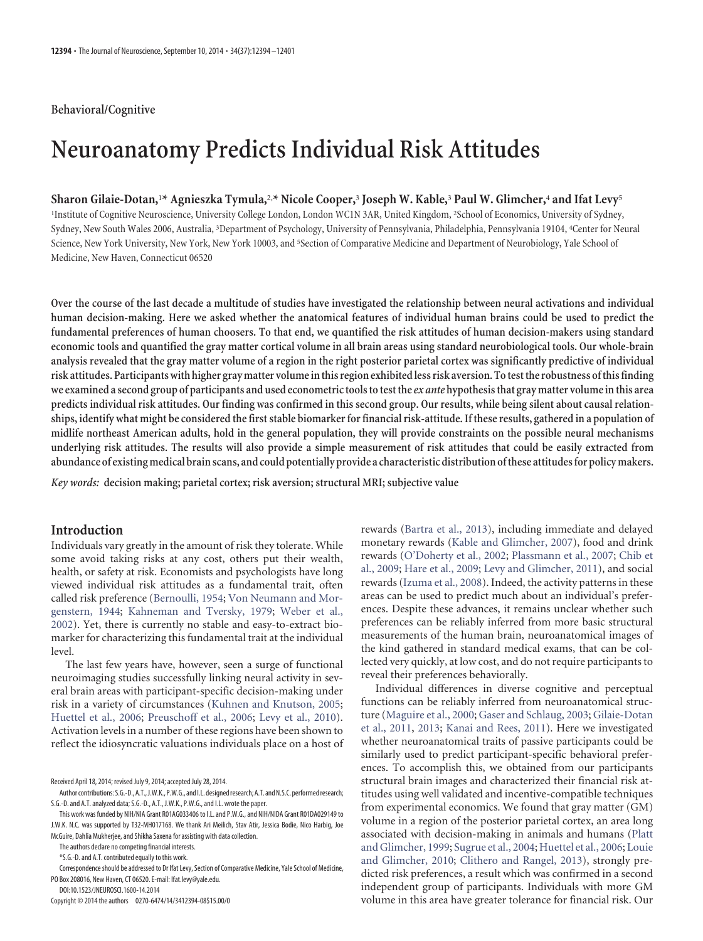## **Behavioral/Cognitive**

# **Neuroanatomy Predicts Individual Risk Attitudes**

# **Sharon Gilaie-Dotan,**<sup>1</sup> **\* Agnieszka Tymula,**2,**\* Nicole Cooper,**<sup>3</sup> **Joseph W. Kable,**<sup>3</sup> **Paul W. Glimcher,**<sup>4</sup> **and Ifat Levy**<sup>5</sup>

1 Institute of Cognitive Neuroscience, University College London, London WC1N 3AR, United Kingdom, <sup>2</sup> School of Economics, University of Sydney, Sydney, New South Wales 2006, Australia, <sup>3</sup>Department of Psychology, University of Pennsylvania, Philadelphia, Pennsylvania 19104, <sup>4</sup>Center for Neural Science, New York University, New York, New York 10003, and <sup>5</sup>Section of Comparative Medicine and Department of Neurobiology, Yale School of Medicine, New Haven, Connecticut 06520

**Over the course of the last decade a multitude of studies have investigated the relationship between neural activations and individual human decision-making. Here we asked whether the anatomical features of individual human brains could be used to predict the fundamental preferences of human choosers. To that end, we quantified the risk attitudes of human decision-makers using standard economic tools and quantified the gray matter cortical volume in all brain areas using standard neurobiological tools. Our whole-brain analysis revealed that the gray matter volume of a region in the right posterior parietal cortex was significantly predictive of individual risk attitudes. Participants with higher gray matter volume inthis region exhibited less risk aversion. Totestthe robustness ofthisfinding we examined a second group of participants and used econometrictoolstotestthe** *ex ante* **hypothesisthat gray matter volume inthis area predicts individual risk attitudes. Our finding was confirmed in this second group. Our results, while being silent about causal relationships, identify what might be considered the first stable biomarker for financial risk-attitude. If these results, gathered in a population of midlife northeast American adults, hold in the general population, they will provide constraints on the possible neural mechanisms underlying risk attitudes. The results will also provide a simple measurement of risk attitudes that could be easily extracted from abundance of existingmedical brain scans, and could potentially provide a characteristic distribution ofthese attitudesfor policymakers.**

*Key words:* **decision making; parietal cortex; risk aversion; structural MRI; subjective value**

# **Introduction**

Individuals vary greatly in the amount of risk they tolerate. While some avoid taking risks at any cost, others put their wealth, health, or safety at risk. Economists and psychologists have long viewed individual risk attitudes as a fundamental trait, often called risk preference [\(Bernoulli, 1954;](#page-6-0) [Von Neumann and Mor](#page-7-0)[genstern, 1944;](#page-7-0) [Kahneman and Tversky, 1979;](#page-7-1) [Weber et al.,](#page-7-2) [2002\)](#page-7-2). Yet, there is currently no stable and easy-to-extract biomarker for characterizing this fundamental trait at the individual level.

The last few years have, however, seen a surge of functional neuroimaging studies successfully linking neural activity in several brain areas with participant-specific decision-making under risk in a variety of circumstances [\(Kuhnen and Knutson, 2005;](#page-7-3) [Huettel et al., 2006;](#page-6-1) [Preuschoff et al., 2006;](#page-7-4) [Levy et al., 2010\)](#page-7-5). Activation levels in a number of these regions have been shown to reflect the idiosyncratic valuations individuals place on a host of

Received April 18, 2014; revised July 9, 2014; accepted July 28, 2014.

The authors declare no competing financial interests.

\*S.G.-D. and A.T. contributed equally to this work.

Correspondence should be addressed to Dr Ifat Levy, Section of Comparative Medicine, Yale School of Medicine, PO Box 208016, New Haven, CT 06520. E-mail: Ifat.levy@yale.edu.

DOI:10.1523/JNEUROSCI.1600-14.2014

Copyright © 2014 the authors 0270-6474/14/3412394-08\$15.00/0

rewards [\(Bartra et al., 2013\)](#page-6-2), including immediate and delayed monetary rewards [\(Kable and Glimcher, 2007\)](#page-7-6), food and drink rewards [\(O'Doherty et al., 2002;](#page-7-7) [Plassmann et al., 2007;](#page-7-8) [Chib et](#page-6-3) [al., 2009;](#page-6-3) [Hare et al., 2009;](#page-6-4) [Levy and Glimcher, 2011\)](#page-7-9), and social rewards [\(Izuma et al., 2008\)](#page-7-10). Indeed, the activity patterns in these areas can be used to predict much about an individual's preferences. Despite these advances, it remains unclear whether such preferences can be reliably inferred from more basic structural measurements of the human brain, neuroanatomical images of the kind gathered in standard medical exams, that can be collected very quickly, at low cost, and do not require participants to reveal their preferences behaviorally.

Individual differences in diverse cognitive and perceptual functions can be reliably inferred from neuroanatomical structure [\(Maguire et al., 2000;](#page-7-11) [Gaser and Schlaug, 2003;](#page-6-5) [Gilaie-Dotan](#page-6-6) [et al., 2011,](#page-6-6) [2013;](#page-6-7) [Kanai and Rees, 2011\)](#page-7-12). Here we investigated whether neuroanatomical traits of passive participants could be similarly used to predict participant-specific behavioral preferences. To accomplish this, we obtained from our participants structural brain images and characterized their financial risk attitudes using well validated and incentive-compatible techniques from experimental economics. We found that gray matter (GM) volume in a region of the posterior parietal cortex, an area long associated with decision-making in animals and humans [\(Platt](#page-7-13) [and Glimcher, 1999;](#page-7-13) [Sugrue et al., 2004;](#page-7-14) [Huettel et al., 2006;](#page-6-1) [Louie](#page-7-15) [and Glimcher, 2010;](#page-7-15) [Clithero and Rangel, 2013\)](#page-6-8), strongly predicted risk preferences, a result which was confirmed in a second independent group of participants. Individuals with more GM volume in this area have greater tolerance for financial risk. Our

Author contributions: S.G.-D., A.T., J.W.K., P.W.G., and I.L. designed research; A.T. and N.S.C. performed research; S.G.-D. and A.T. analyzed data; S.G.-D., A.T., J.W.K., P.W.G., and I.L. wrote the paper.

This work was funded by NIH/NIA Grant R01AG033406 to I.L. and P.W.G., and NIH/NIDA Grant R01DA029149 to J.W.K. N.C. was supported by T32-MH017168. We thank Ari Meilich, Stav Atir, Jessica Bodie, Nico Harbig, Joe McGuire, Dahlia Mukherjee, and Shikha Saxena for assisting with data collection.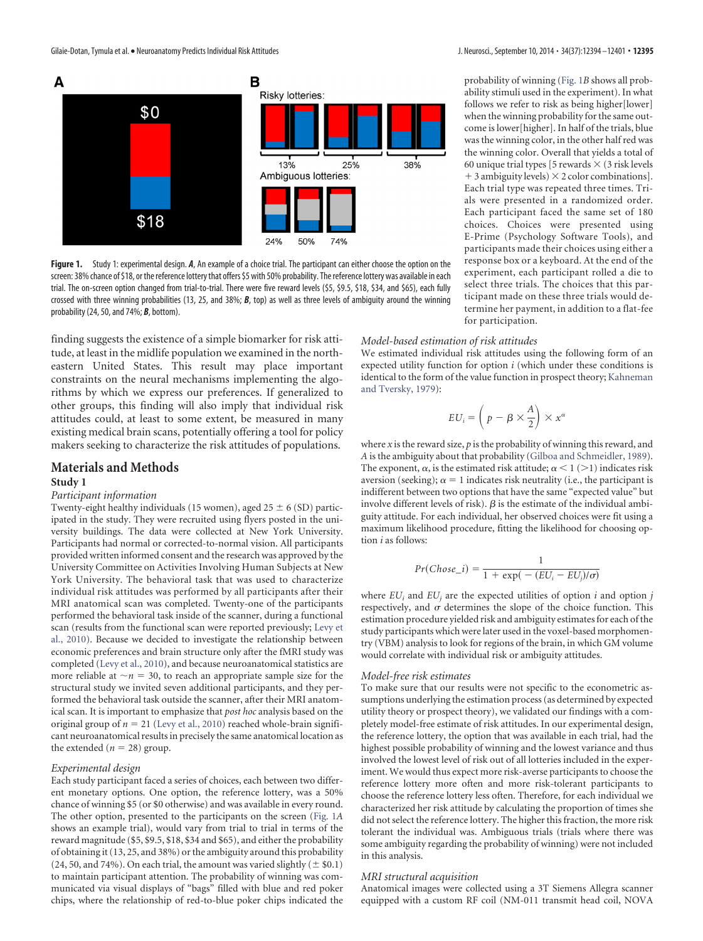

<span id="page-1-0"></span>**Figure 1.** Study 1: experimental design. *A*, An example of a choice trial. The participant can either choose the option on the screen: 38% chance of \$18, or the reference lottery that offers \$5 with 50% probability. The reference lottery was available in each trial. The on-screen option changed from trial-to-trial. There were five reward levels (\$5, \$9.5, \$18, \$34, and \$65), each fully crossed with three winning probabilities (13, 25, and 38%; *B*, top) as well as three levels of ambiguity around the winning probability (24, 50, and 74%; *B*, bottom).

finding suggests the existence of a simple biomarker for risk attitude, at least in the midlife population we examined in the northeastern United States. This result may place important constraints on the neural mechanisms implementing the algorithms by which we express our preferences. If generalized to other groups, this finding will also imply that individual risk attitudes could, at least to some extent, be measured in many existing medical brain scans, potentially offering a tool for policy makers seeking to characterize the risk attitudes of populations.

## **Materials and Methods Study 1**

# *Participant information*

Twenty-eight healthy individuals (15 women), aged  $25 \pm 6$  (SD) participated in the study. They were recruited using flyers posted in the university buildings. The data were collected at New York University. Participants had normal or corrected-to-normal vision. All participants provided written informed consent and the research was approved by the University Committee on Activities Involving Human Subjects at New York University. The behavioral task that was used to characterize individual risk attitudes was performed by all participants after their MRI anatomical scan was completed. Twenty-one of the participants performed the behavioral task inside of the scanner, during a functional scan (results from the functional scan were reported previously; [Levy et](#page-7-5) [al., 2010\)](#page-7-5). Because we decided to investigate the relationship between economic preferences and brain structure only after the fMRI study was completed [\(Levy et al., 2010\)](#page-7-5), and because neuroanatomical statistics are more reliable at  $\sim$ *n* = 30, to reach an appropriate sample size for the structural study we invited seven additional participants, and they performed the behavioral task outside the scanner, after their MRI anatomical scan. It is important to emphasize that *post hoc* analysis based on the original group of  $n = 21$  [\(Levy et al., 2010\)](#page-7-5) reached whole-brain significant neuroanatomical results in precisely the same anatomical location as the extended ( $n = 28$ ) group.

## *Experimental design*

Each study participant faced a series of choices, each between two different monetary options. One option, the reference lottery, was a 50% chance of winning \$5 (or \$0 otherwise) and was available in every round. The other option, presented to the participants on the screen [\(Fig. 1](#page-1-0)*A* shows an example trial), would vary from trial to trial in terms of the reward magnitude (\$5, \$9.5, \$18, \$34 and \$65), and either the probability of obtaining it (13, 25, and 38%) or the ambiguity around this probability (24, 50, and 74%). On each trial, the amount was varied slightly ( $\pm$  \$0.1) to maintain participant attention. The probability of winning was communicated via visual displays of "bags" filled with blue and red poker chips, where the relationship of red-to-blue poker chips indicated the

probability of winning [\(Fig. 1](#page-1-0)*B* shows all probability stimuli used in the experiment). In what follows we refer to risk as being higher[lower] when the winning probability for the same outcome is lower[higher]. In half of the trials, blue was the winning color, in the other half red was the winning color. Overall that yields a total of 60 unique trial types [5 rewards  $\times$  (3 risk levels  $+3$  ambiguity levels)  $\times$  2 color combinations]. Each trial type was repeated three times. Trials were presented in a randomized order. Each participant faced the same set of 180 choices. Choices were presented using E-Prime (Psychology Software Tools), and participants made their choices using either a response box or a keyboard. At the end of the experiment, each participant rolled a die to select three trials. The choices that this participant made on these three trials would determine her payment, in addition to a flat-fee for participation.

## *Model-based estimation of risk attitudes*

We estimated individual risk attitudes using the following form of an expected utility function for option *i* (which under these conditions is identical to the form of the value function in prospect theory; [Kahneman](#page-7-1) [and Tversky, 1979\)](#page-7-1):

$$
EU_i = \left(p - \beta \times \frac{A}{2}\right) \times x^{\alpha}
$$

where *x* is the reward size, *p* is the probability of winning this reward, and *A* is the ambiguity about that probability [\(Gilboa and Schmeidler, 1989\)](#page-6-9). The exponent,  $\alpha$ , is the estimated risk attitude;  $\alpha$  < 1 (>1) indicates risk aversion (seeking);  $\alpha = 1$  indicates risk neutrality (i.e., the participant is indifferent between two options that have the same "expected value" but involve different levels of risk).  $\beta$  is the estimate of the individual ambiguity attitude. For each individual, her observed choices were fit using a maximum likelihood procedure, fitting the likelihood for choosing option *i* as follows:

$$
Pr(Chose\_i) = \frac{1}{1 + \exp(-(EU_i - EU_j)/\sigma)}
$$

where  $EU_i$  and  $EU_j$  are the expected utilities of option *i* and option *j* respectively, and  $\sigma$  determines the slope of the choice function. This estimation procedure yielded risk and ambiguity estimates for each of the study participants which were later used in the voxel-based morphomentry (VBM) analysis to look for regions of the brain, in which GM volume would correlate with individual risk or ambiguity attitudes.

#### *Model-free risk estimates*

To make sure that our results were not specific to the econometric assumptions underlying the estimation process (as determined by expected utility theory or prospect theory), we validated our findings with a completely model-free estimate of risk attitudes. In our experimental design, the reference lottery, the option that was available in each trial, had the highest possible probability of winning and the lowest variance and thus involved the lowest level of risk out of all lotteries included in the experiment. We would thus expect more risk-averse participants to choose the reference lottery more often and more risk-tolerant participants to choose the reference lottery less often. Therefore, for each individual we characterized her risk attitude by calculating the proportion of times she did not select the reference lottery. The higher this fraction, the more risk tolerant the individual was. Ambiguous trials (trials where there was some ambiguity regarding the probability of winning) were not included in this analysis.

#### *MRI structural acquisition*

Anatomical images were collected using a 3T Siemens Allegra scanner equipped with a custom RF coil (NM-011 transmit head coil, NOVA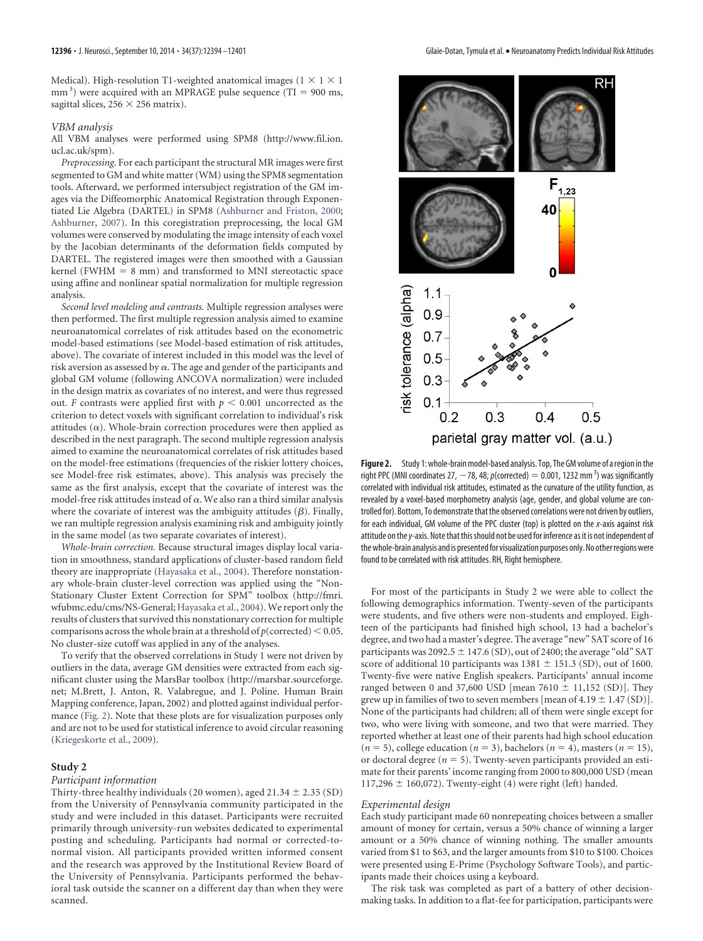Medical). High-resolution T1-weighted anatomical images ( $1 \times 1 \times 1$ mm<sup>3</sup>) were acquired with an MPRAGE pulse sequence (TI = 900 ms, sagittal slices,  $256 \times 256$  matrix).

## *VBM analysis*

All VBM analyses were performed using SPM8 [\(http://www.fil.ion.](http://www.fil.ion.ucl.ac.uk/spm) [ucl.ac.uk/spm\)](http://www.fil.ion.ucl.ac.uk/spm).

*Preprocessing.* For each participant the structural MR images were first segmented to GM and white matter (WM) using the SPM8 segmentation tools. Afterward, we performed intersubject registration of the GM images via the Diffeomorphic Anatomical Registration through Exponentiated Lie Algebra (DARTEL) in SPM8 [\(Ashburner and Friston, 2000;](#page-6-10) [Ashburner, 2007\)](#page-6-11). In this coregistration preprocessing, the local GM volumes were conserved by modulating the image intensity of each voxel by the Jacobian determinants of the deformation fields computed by DARTEL. The registered images were then smoothed with a Gaussian kernel (FWHM  $= 8$  mm) and transformed to MNI stereotactic space using affine and nonlinear spatial normalization for multiple regression analysis.

*Second level modeling and contrasts.* Multiple regression analyses were then performed. The first multiple regression analysis aimed to examine neuroanatomical correlates of risk attitudes based on the econometric model-based estimations (see Model-based estimation of risk attitudes, above). The covariate of interest included in this model was the level of risk aversion as assessed by  $\alpha$ . The age and gender of the participants and global GM volume (following ANCOVA normalization) were included in the design matrix as covariates of no interest, and were thus regressed out. *F* contrasts were applied first with  $p < 0.001$  uncorrected as the criterion to detect voxels with significant correlation to individual's risk attitudes  $(\alpha)$ . Whole-brain correction procedures were then applied as described in the next paragraph. The second multiple regression analysis aimed to examine the neuroanatomical correlates of risk attitudes based on the model-free estimations (frequencies of the riskier lottery choices, see Model-free risk estimates, above). This analysis was precisely the same as the first analysis, except that the covariate of interest was the model-free risk attitudes instead of  $\alpha$ . We also ran a third similar analysis where the covariate of interest was the ambiguity attitudes  $(\beta)$ . Finally, we ran multiple regression analysis examining risk and ambiguity jointly in the same model (as two separate covariates of interest).

*Whole-brain correction.* Because structural images display local variation in smoothness, standard applications of cluster-based random field theory are inappropriate [\(Hayasaka et al., 2004\)](#page-6-12). Therefore nonstationary whole-brain cluster-level correction was applied using the "Non-Stationary Cluster Extent Correction for SPM" toolbox [\(http://fmri.](http://fmri.wfubmc.edu/cms/NS-General) [wfubmc.edu/cms/NS-General;](http://fmri.wfubmc.edu/cms/NS-General) [Hayasaka et al., 2004\)](#page-6-12). We report only the results of clusters that survived this nonstationary correction for multiple comparisons across the whole brain at a threshold of  $p$ (corrected)  $<$  0.05. No cluster-size cutoff was applied in any of the analyses.

To verify that the observed correlations in Study 1 were not driven by outliers in the data, average GM densities were extracted from each significant cluster using the MarsBar toolbox [\(http://marsbar.sourceforge.](http://marsbar.sourceforge.net) [net;](http://marsbar.sourceforge.net) M.Brett, J. Anton, R. Valabregue, and J. Poline. Human Brain Mapping conference, Japan, 2002) and plotted against individual performance [\(Fig. 2\)](#page-2-0). Note that these plots are for visualization purposes only and are not to be used for statistical inference to avoid circular reasoning [\(Kriegeskorte et al., 2009\)](#page-7-16).

## **Study 2**

#### *Participant information*

Thirty-three healthy individuals (20 women), aged  $21.34 \pm 2.35$  (SD) from the University of Pennsylvania community participated in the study and were included in this dataset. Participants were recruited primarily through university-run websites dedicated to experimental posting and scheduling. Participants had normal or corrected-tonormal vision. All participants provided written informed consent and the research was approved by the Institutional Review Board of the University of Pennsylvania. Participants performed the behavioral task outside the scanner on a different day than when they were scanned.



<span id="page-2-0"></span>Figure 2. Study 1: whole-brain model-based analysis. Top, The GM volume of a region in the right PPC (MNI coordinates 27,  $-78$ , 48;  $p$ (corrected) = 0.001, 1232 mm<sup>3</sup>) was significantly correlated with individual risk attitudes, estimated as the curvature of the utility function, as revealed by a voxel-based morphometry analysis (age, gender, and global volume are controlled for). Bottom, To demonstrate that the observed correlations were not driven by outliers, for each individual, GM volume of the PPC cluster (top) is plotted on the *x*-axis against risk attitude on the *y*-axis. Note that this should not be used for inference as it is not independent of the whole-brain analysis and is presented for visualization purposes only. No other regions were found to be correlated with risk attitudes. RH, Right hemisphere.

For most of the participants in Study 2 we were able to collect the following demographics information. Twenty-seven of the participants were students, and five others were non-students and employed. Eighteen of the participants had finished high school, 13 had a bachelor's degree, and two had a master's degree. The average "new" SAT score of 16 participants was 2092.5  $\pm$  147.6 (SD), out of 2400; the average "old" SAT score of additional 10 participants was  $1381 \pm 151.3$  (SD), out of 1600. Twenty-five were native English speakers. Participants' annual income ranged between 0 and 37,600 USD [mean 7610  $\pm$  11,152 (SD)]. They grew up in families of two to seven members [mean of  $4.19 \pm 1.47$  (SD)]. None of the participants had children; all of them were single except for two, who were living with someone, and two that were married. They reported whether at least one of their parents had high school education  $(n = 5)$ , college education  $(n = 3)$ , bachelors  $(n = 4)$ , masters  $(n = 15)$ , or doctoral degree ( $n = 5$ ). Twenty-seven participants provided an estimate for their parents' income ranging from 2000 to 800,000 USD (mean 117,296  $\pm$  160,072). Twenty-eight (4) were right (left) handed.

#### *Experimental design*

Each study participant made 60 nonrepeating choices between a smaller amount of money for certain, versus a 50% chance of winning a larger amount or a 50% chance of winning nothing. The smaller amounts varied from \$1 to \$63, and the larger amounts from \$10 to \$100. Choices were presented using E-Prime (Psychology Software Tools), and participants made their choices using a keyboard.

The risk task was completed as part of a battery of other decisionmaking tasks. In addition to a flat-fee for participation, participants were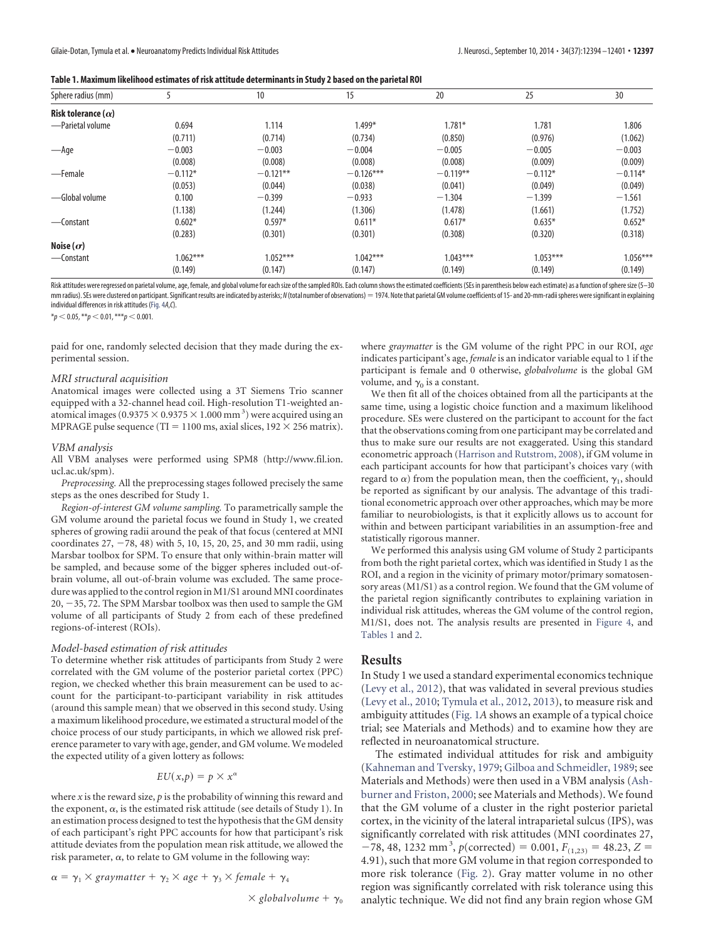<span id="page-3-0"></span>

| Table 1. Maximum likelihood estimates of risk attitude determinants in Study 2 based on the parietal ROI |  |
|----------------------------------------------------------------------------------------------------------|--|
|----------------------------------------------------------------------------------------------------------|--|

| Sphere radius (mm)          |            | 10         | 15          | 20         | 25         | 30         |
|-----------------------------|------------|------------|-------------|------------|------------|------------|
| Risk tolerance ( $\alpha$ ) |            |            |             |            |            |            |
| -Parietal volume            | 0.694      | 1.114      | $1.499*$    | $1.781*$   | 1.781      | 1.806      |
|                             | (0.711)    | (0.714)    | (0.734)     | (0.850)    | (0.976)    | (1.062)    |
| —Age                        | $-0.003$   | $-0.003$   | $-0.004$    | $-0.005$   | $-0.005$   | $-0.003$   |
|                             | (0.008)    | (0.008)    | (0.008)     | (0.008)    | (0.009)    | (0.009)    |
| -Female                     | $-0.112*$  | $-0.121**$ | $-0.126***$ | $-0.119**$ | $-0.112*$  | $-0.114*$  |
|                             | (0.053)    | (0.044)    | (0.038)     | (0.041)    | (0.049)    | (0.049)    |
| -Global volume              | 0.100      | $-0.399$   | $-0.933$    | $-1.304$   | $-1.399$   | $-1.561$   |
|                             | (1.138)    | (1.244)    | (1.306)     | (1.478)    | (1.661)    | (1.752)    |
| —Constant                   | $0.602*$   | $0.597*$   | $0.611*$    | $0.617*$   | $0.635*$   | $0.652*$   |
|                             | (0.283)    | (0.301)    | (0.301)     | (0.308)    | (0.320)    | (0.318)    |
| Noise ( $\sigma$ )          |            |            |             |            |            |            |
| —Constant                   | $1.062***$ | $1.052***$ | $1.042***$  | $1.043***$ | $1.053***$ | $1.056***$ |
|                             | (0.149)    | (0.147)    | (0.147)     | (0.149)    | (0.149)    | (0.149)    |

Risk attitudes were regressed on parietal volume, age, female, and global volume for each size of the sampled ROIs. Each column shows the estimated coefficients (SEs in parenthesis below each estimate) as a function of sph mm radius). SEs were clustered on participant. Significant results are indicated by asterisks; N (total number of observations) = 1974. Note that parietal GM volume coefficients of 15- and 20-mm-radii spheres were signific individual differences in risk attitudes [\(Fig. 4](#page-5-0)*A*,*C*).

 $*_{p}$  < 0.05,  $*_{p}$  < 0.01,  $*_{p}$  < 0.001.

paid for one, randomly selected decision that they made during the experimental session.

## *MRI structural acquisition*

Anatomical images were collected using a 3T Siemens Trio scanner equipped with a 32-channel head coil. High-resolution T1-weighted anatomical images (0.9375  $\times$  0.9375  $\times$  1.000 mm<sup>3</sup>) were acquired using an MPRAGE pulse sequence (TI = 1100 ms, axial slices,  $192 \times 256$  matrix).

## *VBM analysis*

All VBM analyses were performed using SPM8 [\(http://www.fil.ion.](http://www.fil.ion.ucl.ac.uk/spm) [ucl.ac.uk/spm\)](http://www.fil.ion.ucl.ac.uk/spm).

*Preprocessing.* All the preprocessing stages followed precisely the same steps as the ones described for Study 1.

*Region-of-interest GM volume sampling.* To parametrically sample the GM volume around the parietal focus we found in Study 1, we created spheres of growing radii around the peak of that focus (centered at MNI coordinates  $27, -78, 48$ ) with 5, 10, 15, 20, 25, and 30 mm radii, using Marsbar toolbox for SPM. To ensure that only within-brain matter will be sampled, and because some of the bigger spheres included out-ofbrain volume, all out-of-brain volume was excluded. The same procedure was applied to the control region in M1/S1 around MNI coordinates  $20, -35, 72$ . The SPM Marsbar toolbox was then used to sample the GM volume of all participants of Study 2 from each of these predefined regions-of-interest (ROIs).

## *Model-based estimation of risk attitudes*

To determine whether risk attitudes of participants from Study 2 were correlated with the GM volume of the posterior parietal cortex (PPC) region, we checked whether this brain measurement can be used to account for the participant-to-participant variability in risk attitudes (around this sample mean) that we observed in this second study. Using a maximum likelihood procedure, we estimated a structural model of the choice process of our study participants, in which we allowed risk preference parameter to vary with age, gender, and GM volume. We modeled the expected utility of a given lottery as follows:

$$
EU(x,p) = p \times x^{\alpha}
$$

where *x* is the reward size, *p* is the probability of winning this reward and the exponent,  $\alpha$ , is the estimated risk attitude (see details of Study 1). In an estimation process designed to test the hypothesis that the GM density of each participant's right PPC accounts for how that participant's risk attitude deviates from the population mean risk attitude, we allowed the risk parameter,  $\alpha$ , to relate to GM volume in the following way:

 $\alpha = \gamma_1 \times$  graymatter  $+ \gamma_2 \times age + \gamma_3 \times female + \gamma_4$ 

where *graymatter* is the GM volume of the right PPC in our ROI, *age* indicates participant's age, *female*is an indicator variable equal to 1 if the participant is female and 0 otherwise, *globalvolume* is the global GM volume, and  $\gamma_0$  is a constant.

We then fit all of the choices obtained from all the participants at the same time, using a logistic choice function and a maximum likelihood procedure. SEs were clustered on the participant to account for the fact that the observations coming from one participant may be correlated and thus to make sure our results are not exaggerated. Using this standard econometric approach [\(Harrison and Rutstrom, 2008\)](#page-6-13), if GM volume in each participant accounts for how that participant's choices vary (with regard to  $\alpha$ ) from the population mean, then the coefficient,  $\gamma_1$ , should be reported as significant by our analysis. The advantage of this traditional econometric approach over other approaches, which may be more familiar to neurobiologists, is that it explicitly allows us to account for within and between participant variabilities in an assumption-free and statistically rigorous manner.

We performed this analysis using GM volume of Study 2 participants from both the right parietal cortex, which was identified in Study 1 as the ROI, and a region in the vicinity of primary motor/primary somatosensory areas (M1/S1) as a control region. We found that the GM volume of the parietal region significantly contributes to explaining variation in individual risk attitudes, whereas the GM volume of the control region, M1/S1, does not. The analysis results are presented in [Figure 4,](#page-5-0) and [Tables 1](#page-3-0) and [2.](#page-4-0)

## **Results**

In Study 1 we used a standard experimental economics technique [\(Levy et al., 2012\)](#page-7-17), that was validated in several previous studies [\(Levy et al., 2010;](#page-7-5) [Tymula et al., 2012,](#page-7-18) [2013\)](#page-7-19), to measure risk and ambiguity attitudes [\(Fig. 1](#page-1-0)*A* shows an example of a typical choice trial; see Materials and Methods) and to examine how they are reflected in neuroanatomical structure.

The estimated individual attitudes for risk and ambiguity [\(Kahneman and Tversky, 1979;](#page-7-1) [Gilboa and Schmeidler, 1989;](#page-6-9) see Materials and Methods) were then used in a VBM analysis [\(Ash](#page-6-10)[burner and Friston, 2000;](#page-6-10) see Materials and Methods). We found that the GM volume of a cluster in the right posterior parietal cortex, in the vicinity of the lateral intraparietal sulcus (IPS), was significantly correlated with risk attitudes (MNI coordinates 27,  $-78$ , 48, 1232 mm<sup>3</sup>,  $p$ (corrected) = 0.001,  $F$ <sub>(1,23)</sub> = 48.23,  $Z =$ 4.91), such that more GM volume in that region corresponded to more risk tolerance [\(Fig. 2\)](#page-2-0). Gray matter volume in no other region was significantly correlated with risk tolerance using this analytic technique. We did not find any brain region whose GM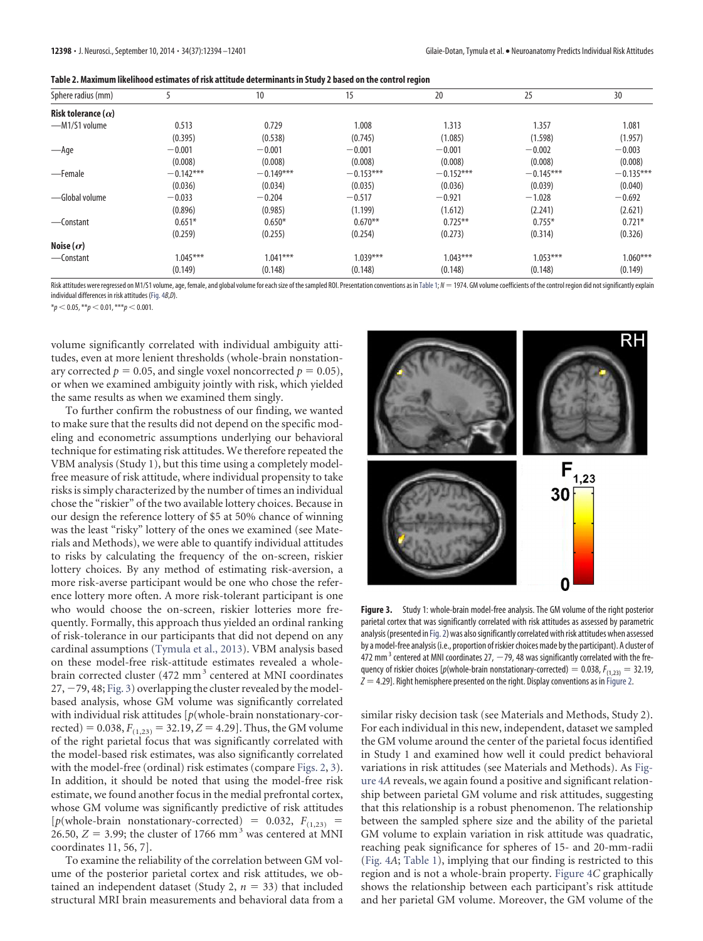<span id="page-4-0"></span>

| Table 2. Maximum likelihood estimates of risk attitude determinants in Study 2 based on the control region |  |
|------------------------------------------------------------------------------------------------------------|--|
|                                                                                                            |  |

| Sphere radius (mm)        |             | 10          | 15          | 20          | 25          | 30          |
|---------------------------|-------------|-------------|-------------|-------------|-------------|-------------|
| Risk tolerance $(\alpha)$ |             |             |             |             |             |             |
| -M1/S1 volume             | 0.513       | 0.729       | 1.008       | 1.313       | 1.357       | 1.081       |
|                           | (0.395)     | (0.538)     | (0.745)     | (1.085)     | (1.598)     | (1.957)     |
| —Age                      | $-0.001$    | $-0.001$    | $-0.001$    | $-0.001$    | $-0.002$    | $-0.003$    |
|                           | (0.008)     | (0.008)     | (0.008)     | (0.008)     | (0.008)     | (0.008)     |
| -Female                   | $-0.142***$ | $-0.149***$ | $-0.153***$ | $-0.152***$ | $-0.145***$ | $-0.135***$ |
|                           | (0.036)     | (0.034)     | (0.035)     | (0.036)     | (0.039)     | (0.040)     |
| -Global volume            | $-0.033$    | $-0.204$    | $-0.517$    | $-0.921$    | $-1.028$    | $-0.692$    |
|                           | (0.896)     | (0.985)     | (1.199)     | (1.612)     | (2.241)     | (2.621)     |
| —Constant                 | $0.651*$    | $0.650*$    | $0.670**$   | $0.725***$  | $0.755*$    | $0.721*$    |
|                           | (0.259)     | (0.255)     | (0.254)     | (0.273)     | (0.314)     | (0.326)     |
| Noise ( $\sigma$ )        |             |             |             |             |             |             |
| —Constant                 | $1.045***$  | $1.041***$  | $1.039***$  | $1.043***$  | $1.053***$  | $1.060***$  |
|                           | (0.149)     | (0.148)     | (0.148)     | (0.148)     | (0.148)     | (0.149)     |

Risk attitudes were regressed on M1/S1 volume, age, female, and global volume for each size of the sampled ROI. Presentation conventions as in [Table 1;](#page-3-0)  $N = 1974$ . GM volume coefficients of the control region did not signif individual differences in risk attitudes [\(Fig. 4](#page-5-0)*B*,*D*).

 $*_{p}$  < 0.05,  $*_{p}$  < 0.01,  $*_{p}$  < 0.001.

volume significantly correlated with individual ambiguity attitudes, even at more lenient thresholds (whole-brain nonstationary corrected  $p = 0.05$ , and single voxel noncorrected  $p = 0.05$ ), or when we examined ambiguity jointly with risk, which yielded the same results as when we examined them singly.

To further confirm the robustness of our finding, we wanted to make sure that the results did not depend on the specific modeling and econometric assumptions underlying our behavioral technique for estimating risk attitudes. We therefore repeated the VBM analysis (Study 1), but this time using a completely modelfree measure of risk attitude, where individual propensity to take risks is simply characterized by the number of times an individual chose the "riskier" of the two available lottery choices. Because in our design the reference lottery of \$5 at 50% chance of winning was the least "risky" lottery of the ones we examined (see Materials and Methods), we were able to quantify individual attitudes to risks by calculating the frequency of the on-screen, riskier lottery choices. By any method of estimating risk-aversion, a more risk-averse participant would be one who chose the reference lottery more often. A more risk-tolerant participant is one who would choose the on-screen, riskier lotteries more frequently. Formally, this approach thus yielded an ordinal ranking of risk-tolerance in our participants that did not depend on any cardinal assumptions [\(Tymula et al., 2013\)](#page-7-19). VBM analysis based on these model-free risk-attitude estimates revealed a wholebrain corrected cluster (472 mm<sup>3</sup> centered at MNI coordinates  $27, -79, 48;$  [Fig. 3\)](#page-4-1) overlapping the cluster revealed by the modelbased analysis, whose GM volume was significantly correlated with individual risk attitudes [*p*(whole-brain nonstationary-corrected) =  $0.038$ ,  $F_{(1,23)} = 32.19$ ,  $Z = 4.29$ ]. Thus, the GM volume of the right parietal focus that was significantly correlated with the model-based risk estimates, was also significantly correlated with the model-free (ordinal) risk estimates (compare [Figs. 2,](#page-2-0) [3\)](#page-4-1). In addition, it should be noted that using the model-free risk estimate, we found another focus in the medial prefrontal cortex, whose GM volume was significantly predictive of risk attitudes  $[p(whole-brain nonstationary-corrected) = 0.032, F<sub>(1,23)</sub> =$ 26.50,  $Z = 3.99$ ; the cluster of 1766 mm<sup>3</sup> was centered at MNI coordinates 11, 56, 7].

To examine the reliability of the correlation between GM volume of the posterior parietal cortex and risk attitudes, we obtained an independent dataset (Study 2,  $n = 33$ ) that included structural MRI brain measurements and behavioral data from a



<span id="page-4-1"></span>**Figure 3.** Study 1: whole-brain model-free analysis. The GM volume of the right posterior parietal cortex that was significantly correlated with risk attitudes as assessed by parametric analysis (presented in [Fig. 2\)](#page-2-0) was also significantly correlated with risk attitudes when assessed by a model-free analysis (i.e., proportion of riskier choices made bythe participant). A cluster of  $472$  mm<sup>3</sup> centered at MNI coordinates 27,  $-79$ , 48 was significantly correlated with the frequency of riskier choices [p(whole-brain nonstationary-corrected) =  $0.038$ ,  $F_{(1,23)} = 32.19$ ,  $Z = 4.29$ ]. Right hemisphere presented on the right. Display conventions as in [Figure 2.](#page-2-0)

similar risky decision task (see Materials and Methods, Study 2). For each individual in this new, independent, dataset we sampled the GM volume around the center of the parietal focus identified in Study 1 and examined how well it could predict behavioral variations in risk attitudes (see Materials and Methods). As [Fig](#page-5-0)[ure 4](#page-5-0)*A* reveals, we again found a positive and significant relationship between parietal GM volume and risk attitudes, suggesting that this relationship is a robust phenomenon. The relationship between the sampled sphere size and the ability of the parietal GM volume to explain variation in risk attitude was quadratic, reaching peak significance for spheres of 15- and 20-mm-radii [\(Fig. 4](#page-5-0)*A*; [Table 1\)](#page-3-0), implying that our finding is restricted to this region and is not a whole-brain property. [Figure 4](#page-5-0)*C* graphically shows the relationship between each participant's risk attitude and her parietal GM volume. Moreover, the GM volume of the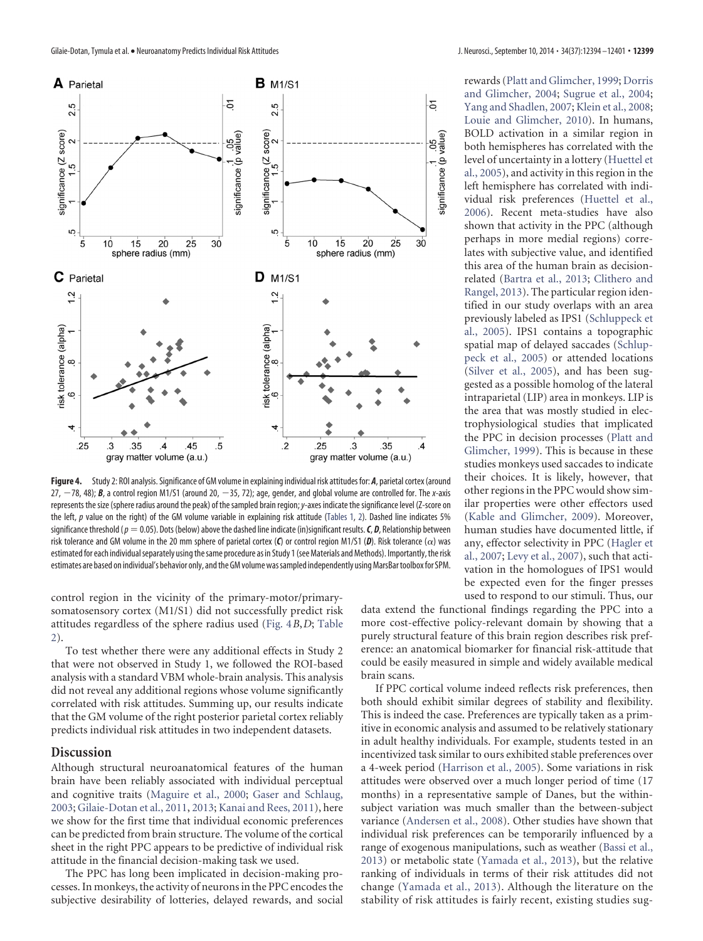

<span id="page-5-0"></span>**Figure 4.** Study 2: ROI analysis. Significance of GM volume in explaining individual risk attitudes for: *A*, parietal cortex (around  $27, -78, 48$ ); **B**, a control region M1/S1 (around 20,  $-35, 72$ ); age, gender, and global volume are controlled for. The *x*-axis represents the size (sphere radius around the peak) of the sampled brain region;*y*-axes indicate the significance level (Z-score on the left, *p* value on the right) of the GM volume variable in explaining risk attitude [\(Tables 1,](#page-3-0) [2\)](#page-4-0). Dashed line indicates 5% significance threshold ( $p = 0.05$ ). Dots (below) above the dashed line indicate (in)significant results. *C*, *D*, Relationship between risk tolerance and GM volume in the 20 mm sphere of parietal cortex (C) or control region M1/S1 (D). Risk tolerance ( $\alpha$ ) was estimated for each individual separately using the same procedure as in Study 1 (see Materials and Methods). Importantly, the risk estimates are based on individual's behavior only, and the GM volume was sampled independently using MarsBar toolbox for SPM.

control region in the vicinity of the primary-motor/primarysomatosensory cortex (M1/S1) did not successfully predict risk attitudes regardless of the sphere radius used [\(Fig. 4](#page-5-0)*B*,*D*; [Table](#page-4-0) [2\)](#page-4-0).

To test whether there were any additional effects in Study 2 that were not observed in Study 1, we followed the ROI-based analysis with a standard VBM whole-brain analysis. This analysis did not reveal any additional regions whose volume significantly correlated with risk attitudes. Summing up, our results indicate that the GM volume of the right posterior parietal cortex reliably predicts individual risk attitudes in two independent datasets.

## **Discussion**

Although structural neuroanatomical features of the human brain have been reliably associated with individual perceptual and cognitive traits [\(Maguire et al., 2000;](#page-7-11) [Gaser and Schlaug,](#page-6-5) [2003;](#page-6-5) [Gilaie-Dotan et al., 2011,](#page-6-6) [2013;](#page-6-7) [Kanai and Rees, 2011\)](#page-7-12), here we show for the first time that individual economic preferences can be predicted from brain structure. The volume of the cortical sheet in the right PPC appears to be predictive of individual risk attitude in the financial decision-making task we used.

The PPC has long been implicated in decision-making processes. In monkeys, the activity of neurons in the PPC encodes the subjective desirability of lotteries, delayed rewards, and social rewards [\(Platt and Glimcher, 1999;](#page-7-13) [Dorris](#page-6-14) [and Glimcher, 2004;](#page-6-14) [Sugrue et al., 2004;](#page-7-14) [Yang and Shadlen, 2007;](#page-7-20) [Klein et al., 2008;](#page-7-21) [Louie and Glimcher, 2010\)](#page-7-15). In humans, BOLD activation in a similar region in both hemispheres has correlated with the level of uncertainty in a lottery [\(Huettel et](#page-6-15) [al., 2005\)](#page-6-15), and activity in this region in the left hemisphere has correlated with individual risk preferences [\(Huettel et al.,](#page-6-1) [2006\)](#page-6-1). Recent meta-studies have also shown that activity in the PPC (although perhaps in more medial regions) correlates with subjective value, and identified this area of the human brain as decisionrelated [\(Bartra et al., 2013;](#page-6-2) [Clithero and](#page-6-8) [Rangel, 2013\)](#page-6-8). The particular region identified in our study overlaps with an area previously labeled as IPS1 [\(Schluppeck et](#page-7-22) [al., 2005\)](#page-7-22). IPS1 contains a topographic spatial map of delayed saccades [\(Schlup](#page-7-22)[peck et al., 2005\)](#page-7-22) or attended locations [\(Silver et al., 2005\)](#page-7-23), and has been suggested as a possible homolog of the lateral intraparietal (LIP) area in monkeys. LIP is the area that was mostly studied in electrophysiological studies that implicated the PPC in decision processes [\(Platt and](#page-7-13) [Glimcher, 1999\)](#page-7-13). This is because in these studies monkeys used saccades to indicate their choices. It is likely, however, that other regions in the PPC would show similar properties were other effectors used [\(Kable and Glimcher, 2009\)](#page-7-24). Moreover, human studies have documented little, if any, effector selectivity in PPC [\(Hagler et](#page-6-16) [al., 2007;](#page-6-16) [Levy et al., 2007\)](#page-7-25), such that activation in the homologues of IPS1 would be expected even for the finger presses used to respond to our stimuli. Thus, our

data extend the functional findings regarding the PPC into a more cost-effective policy-relevant domain by showing that a purely structural feature of this brain region describes risk preference: an anatomical biomarker for financial risk-attitude that could be easily measured in simple and widely available medical brain scans.

If PPC cortical volume indeed reflects risk preferences, then both should exhibit similar degrees of stability and flexibility. This is indeed the case. Preferences are typically taken as a primitive in economic analysis and assumed to be relatively stationary in adult healthy individuals. For example, students tested in an incentivized task similar to ours exhibited stable preferences over a 4-week period [\(Harrison et al., 2005\)](#page-6-17). Some variations in risk attitudes were observed over a much longer period of time (17 months) in a representative sample of Danes, but the withinsubject variation was much smaller than the between-subject variance [\(Andersen et al., 2008\)](#page-6-18). Other studies have shown that individual risk preferences can be temporarily influenced by a range of exogenous manipulations, such as weather [\(Bassi et al.,](#page-6-19) [2013\)](#page-6-19) or metabolic state [\(Yamada et al., 2013\)](#page-7-26), but the relative ranking of individuals in terms of their risk attitudes did not change [\(Yamada et al., 2013\)](#page-7-26). Although the literature on the stability of risk attitudes is fairly recent, existing studies sug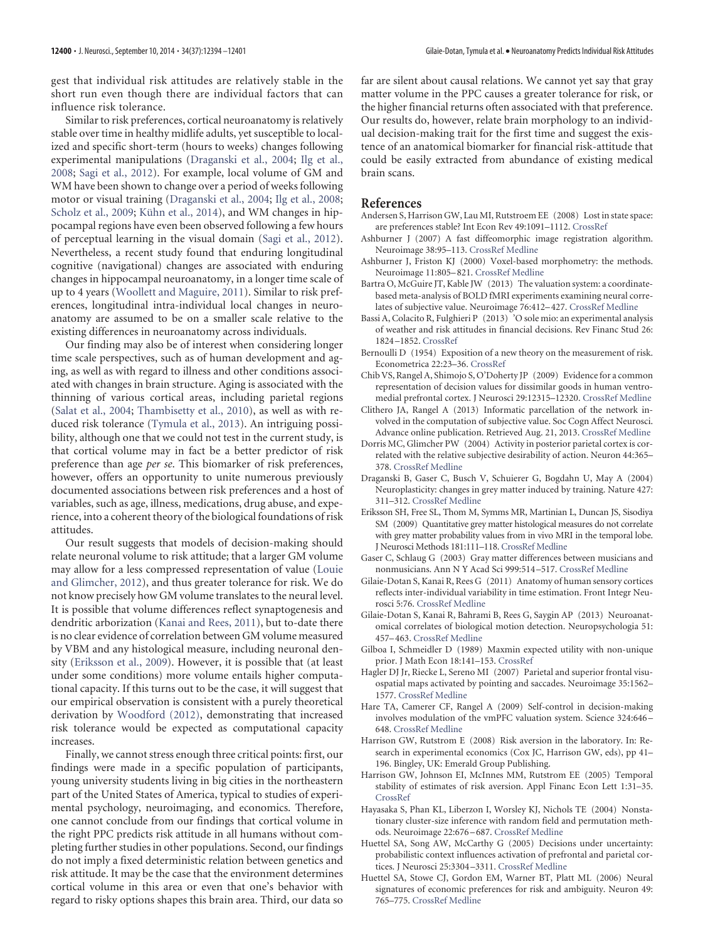gest that individual risk attitudes are relatively stable in the short run even though there are individual factors that can influence risk tolerance.

Similar to risk preferences, cortical neuroanatomy is relatively stable over time in healthy midlife adults, yet susceptible to localized and specific short-term (hours to weeks) changes following experimental manipulations [\(Draganski et al., 2004;](#page-6-20) [Ilg et al.,](#page-7-27) [2008;](#page-7-27) [Sagi et al., 2012\)](#page-7-28). For example, local volume of GM and WM have been shown to change over a period of weeks following motor or visual training [\(Draganski et al., 2004;](#page-6-20) [Ilg et al., 2008;](#page-7-27) [Scholz et al., 2009;](#page-7-29) Kühn et al., 2014), and WM changes in hippocampal regions have even been observed following a few hours of perceptual learning in the visual domain [\(Sagi et al., 2012\)](#page-7-28). Nevertheless, a recent study found that enduring longitudinal cognitive (navigational) changes are associated with enduring changes in hippocampal neuroanatomy, in a longer time scale of up to 4 years [\(Woollett and Maguire, 2011\)](#page-7-31). Similar to risk preferences, longitudinal intra-individual local changes in neuroanatomy are assumed to be on a smaller scale relative to the existing differences in neuroanatomy across individuals.

Our finding may also be of interest when considering longer time scale perspectives, such as of human development and aging, as well as with regard to illness and other conditions associated with changes in brain structure. Aging is associated with the thinning of various cortical areas, including parietal regions [\(Salat et al., 2004;](#page-7-32) [Thambisetty et al., 2010\)](#page-7-33), as well as with reduced risk tolerance [\(Tymula et al., 2013\)](#page-7-19). An intriguing possibility, although one that we could not test in the current study, is that cortical volume may in fact be a better predictor of risk preference than age *per se*. This biomarker of risk preferences, however, offers an opportunity to unite numerous previously documented associations between risk preferences and a host of variables, such as age, illness, medications, drug abuse, and experience, into a coherent theory of the biological foundations of risk attitudes.

Our result suggests that models of decision-making should relate neuronal volume to risk attitude; that a larger GM volume may allow for a less compressed representation of value [\(Louie](#page-7-34) [and Glimcher, 2012\)](#page-7-34), and thus greater tolerance for risk. We do not know precisely how GM volume translates to the neural level. It is possible that volume differences reflect synaptogenesis and dendritic arborization [\(Kanai and Rees, 2011\)](#page-7-12), but to-date there is no clear evidence of correlation between GM volume measured by VBM and any histological measure, including neuronal density [\(Eriksson et al., 2009\)](#page-6-21). However, it is possible that (at least under some conditions) more volume entails higher computational capacity. If this turns out to be the case, it will suggest that our empirical observation is consistent with a purely theoretical derivation by [Woodford \(2012\),](#page-7-35) demonstrating that increased risk tolerance would be expected as computational capacity increases.

Finally, we cannot stress enough three critical points: first, our findings were made in a specific population of participants, young university students living in big cities in the northeastern part of the United States of America, typical to studies of experimental psychology, neuroimaging, and economics. Therefore, one cannot conclude from our findings that cortical volume in the right PPC predicts risk attitude in all humans without completing further studies in other populations. Second, our findings do not imply a fixed deterministic relation between genetics and risk attitude. It may be the case that the environment determines cortical volume in this area or even that one's behavior with regard to risky options shapes this brain area. Third, our data so

far are silent about causal relations. We cannot yet say that gray matter volume in the PPC causes a greater tolerance for risk, or the higher financial returns often associated with that preference. Our results do, however, relate brain morphology to an individual decision-making trait for the first time and suggest the existence of an anatomical biomarker for financial risk-attitude that could be easily extracted from abundance of existing medical brain scans.

## **References**

- <span id="page-6-18"></span>Andersen S, Harrison GW, Lau MI, Rutstroem EE (2008) Lost in state space: are preferences stable? Int Econ Rev 49:1091–1112. [CrossRef](http://dx.doi.org/10.1111/j.1468-2354.2008.00507.x)
- <span id="page-6-11"></span>Ashburner J (2007) A fast diffeomorphic image registration algorithm. Neuroimage 38:95–113. [CrossRef](http://dx.doi.org/10.1016/j.neuroimage.2007.07.007) [Medline](http://www.ncbi.nlm.nih.gov/pubmed/17761438)
- <span id="page-6-10"></span>Ashburner J, Friston KJ (2000) Voxel-based morphometry: the methods. Neuroimage 11:805–821. [CrossRef](http://dx.doi.org/10.1006/nimg.2000.0582) [Medline](http://www.ncbi.nlm.nih.gov/pubmed/10860804)
- <span id="page-6-2"></span>Bartra O, McGuire JT, Kable JW (2013) The valuation system: a coordinatebased meta-analysis of BOLD fMRI experiments examining neural correlates of subjective value. Neuroimage 76:412–427. [CrossRef](http://dx.doi.org/10.1016/j.neuroimage.2013.02.063) [Medline](http://www.ncbi.nlm.nih.gov/pubmed/23507394)
- <span id="page-6-19"></span>Bassi A, Colacito R, Fulghieri P (2013) 'O sole mio: an experimental analysis of weather and risk attitudes in financial decisions. Rev Financ Stud 26: 1824 –1852. [CrossRef](http://dx.doi.org/10.1093/rfs/hht004)
- <span id="page-6-0"></span>Bernoulli D (1954) Exposition of a new theory on the measurement of risk. Econometrica 22:23–36. [CrossRef](http://dx.doi.org/10.2307/1909829)
- <span id="page-6-3"></span>Chib VS, Rangel A, Shimojo S, O'Doherty JP (2009) Evidence for a common representation of decision values for dissimilar goods in human ventromedial prefrontal cortex. J Neurosci 29:12315–12320. [CrossRef](http://dx.doi.org/10.1523/JNEUROSCI.2575-09.2009) [Medline](http://www.ncbi.nlm.nih.gov/pubmed/19793990)
- <span id="page-6-8"></span>Clithero JA, Rangel A (2013) Informatic parcellation of the network involved in the computation of subjective value. Soc Cogn Affect Neurosci. Advance online publication. Retrieved Aug. 21, 2013. [CrossRef](http://dx.doi.org/10.1093/scan/nst106) [Medline](http://www.ncbi.nlm.nih.gov/pubmed/23887811)
- <span id="page-6-14"></span>Dorris MC, Glimcher PW (2004) Activity in posterior parietal cortex is correlated with the relative subjective desirability of action. Neuron 44:365– 378. [CrossRef](http://dx.doi.org/10.1016/j.neuron.2004.09.009) [Medline](http://www.ncbi.nlm.nih.gov/pubmed/15473973)
- <span id="page-6-20"></span>Draganski B, Gaser C, Busch V, Schuierer G, Bogdahn U, May A (2004) Neuroplasticity: changes in grey matter induced by training. Nature 427: 311–312. [CrossRef](http://dx.doi.org/10.1038/427311a) [Medline](http://www.ncbi.nlm.nih.gov/pubmed/14737157)
- <span id="page-6-21"></span>Eriksson SH, Free SL, Thom M, Symms MR, Martinian L, Duncan JS, Sisodiya SM (2009) Quantitative grey matter histological measures do not correlate with grey matter probability values from in vivo MRI in the temporal lobe. J Neurosci Methods 181:111–118. [CrossRef](http://dx.doi.org/10.1016/j.jneumeth.2009.05.001) [Medline](http://www.ncbi.nlm.nih.gov/pubmed/19433106)
- <span id="page-6-5"></span>Gaser C, Schlaug G (2003) Gray matter differences between musicians and nonmusicians. Ann N Y Acad Sci 999:514 –517. [CrossRef](http://dx.doi.org/10.1196/annals.1284.062) [Medline](http://www.ncbi.nlm.nih.gov/pubmed/14681175)
- <span id="page-6-6"></span>Gilaie-Dotan S, Kanai R, Rees G (2011) Anatomy of human sensory cortices reflects inter-individual variability in time estimation. Front Integr Neurosci 5:76. [CrossRef](http://dx.doi.org/10.3389/fnint.2011.00076) [Medline](http://www.ncbi.nlm.nih.gov/pubmed/22125515)
- <span id="page-6-7"></span>Gilaie-Dotan S, Kanai R, Bahrami B, Rees G, Saygin AP (2013) Neuroanatomical correlates of biological motion detection. Neuropsychologia 51: 457–463. [CrossRef](http://dx.doi.org/10.1016/j.neuropsychologia.2012.11.027) [Medline](http://www.ncbi.nlm.nih.gov/pubmed/23211992)
- <span id="page-6-9"></span>Gilboa I, Schmeidler D (1989) Maxmin expected utility with non-unique prior. J Math Econ 18:141–153. [CrossRef](http://dx.doi.org/10.1016/0304-4068(89)90018-9)
- <span id="page-6-16"></span>Hagler DJ Jr, Riecke L, Sereno MI (2007) Parietal and superior frontal visuospatial maps activated by pointing and saccades. Neuroimage 35:1562– 1577. [CrossRef](http://dx.doi.org/10.1016/j.neuroimage.2007.01.033) [Medline](http://www.ncbi.nlm.nih.gov/pubmed/17376706)
- <span id="page-6-4"></span>Hare TA, Camerer CF, Rangel A (2009) Self-control in decision-making involves modulation of the vmPFC valuation system. Science 324:646 – 648. [CrossRef](http://dx.doi.org/10.1126/science.1168450) [Medline](http://www.ncbi.nlm.nih.gov/pubmed/19407204)
- <span id="page-6-13"></span>Harrison GW, Rutstrom E (2008) Risk aversion in the laboratory. In: Research in experimental economics (Cox JC, Harrison GW, eds), pp 41– 196. Bingley, UK: Emerald Group Publishing.
- <span id="page-6-17"></span>Harrison GW, Johnson EI, McInnes MM, Rutstrom EE (2005) Temporal stability of estimates of risk aversion. Appl Financ Econ Lett 1:31–35. [CrossRef](http://dx.doi.org/10.1080/1744654042000311576)
- <span id="page-6-12"></span>Hayasaka S, Phan KL, Liberzon I, Worsley KJ, Nichols TE (2004) Nonstationary cluster-size inference with random field and permutation methods. Neuroimage 22:676 –687. [CrossRef](http://dx.doi.org/10.1016/j.neuroimage.2004.01.041) [Medline](http://www.ncbi.nlm.nih.gov/pubmed/15193596)
- <span id="page-6-15"></span>Huettel SA, Song AW, McCarthy G (2005) Decisions under uncertainty: probabilistic context influences activation of prefrontal and parietal cortices. J Neurosci 25:3304 –3311. [CrossRef](http://dx.doi.org/10.1523/JNEUROSCI.5070-04.2005) [Medline](http://www.ncbi.nlm.nih.gov/pubmed/15800185)
- <span id="page-6-1"></span>Huettel SA, Stowe CJ, Gordon EM, Warner BT, Platt ML (2006) Neural signatures of economic preferences for risk and ambiguity. Neuron 49: 765–775. [CrossRef](http://dx.doi.org/10.1016/j.neuron.2006.01.024) [Medline](http://www.ncbi.nlm.nih.gov/pubmed/16504951)